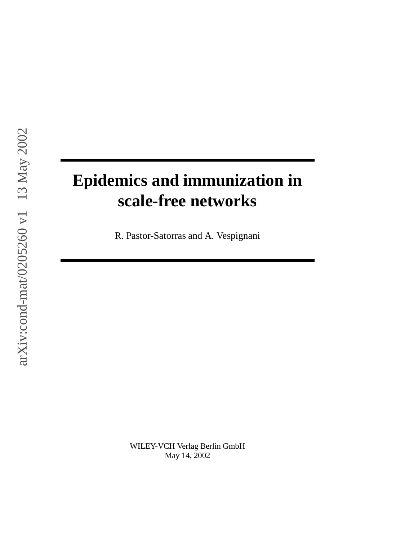# arXiv:cond-mat/0205260 v1 13 May 2002 arXiv:cond-mat/0205260 v1 13 May 2002

# **Epidemics and immunization in scale-free networks**

R. Pastor-Satorras and A. Vespignani

WILEY-VCH Verlag Berlin GmbH May 14, 2002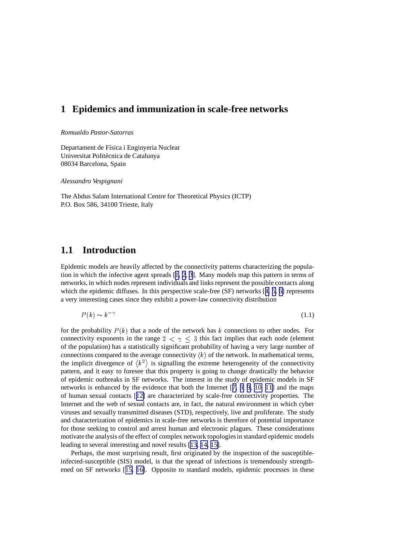# **1 Epidemics and immunization in scale-free networks**

#### *Romualdo Pastor-Satorras*

Departament de Física i Enginyeria Nuclear Universitat Politècnica de Catalunya 08034 Barcelona, Spain

*Alessandro Vespignani*

The Abdus Salam International Centre for Theoretical Physics (ICTP) P.O. Box 586, 34100 Trieste, Italy

# **1.1 Introduction**

Epidemic models are heavily affected by the connectivity patterns characterizing the population in which the infective agent spreads [[1,](#page-19-0) [2](#page-19-0), [3](#page-19-0)]. Many models map this pattern in terms of networks, in which nodes represent individuals and links represent the possible contacts along which the epidemic diffuses. In this perspective scale-free (SF) networks [[4,](#page-19-0) [5,](#page-19-0) [6\]](#page-19-0) represents a very interesting cases since they exhibit a power-law connectivity distribution

-  $-\gamma$  (1.1)

for the probability  $P(k)$  that a node of the network has k connections to other nodes. For connectivity exponents in the range  $2 < \gamma < 3$  this fact implies that each node (element of the population) has a statistically significant probability of having a very large number of connections compared to the average connectivity  $\langle k \rangle$  of the network. In mathematical terms, the implicit divergence of  $\langle k^2 \rangle$  is signalling the extreme heterogeneity of the connectivity pattern, and it easy to foresee that this property is going to change drastically the behavior of epidemic outbreaks in SF networks. The interest in the study of epidemic models in SF networks is enhanced by the evidence that both the Internet [[7,](#page-19-0) [8,](#page-19-0) [9](#page-19-0), [10,](#page-19-0) [11\]](#page-19-0) and the maps of human sexual contacts [[12\]](#page-19-0) are characterized by scale-free connectivity properties. The Internet and the web of sexual contacts are, in fact, the natural environment in which cyber viruses and sexually transmitted diseases (STD), respectively, live and proliferate. The study and characterization of epidemics in scale-free networks is therefore of potential importance for those seeking to control and arrest human and electronic plagues. These considerations motivate the analysis of the effect of complex network topologiesin standard epidemic models leading to several interesting and novel results [[13,](#page-19-0) [14,](#page-19-0) [15\]](#page-20-0).

Perhaps, the most surprising result, first originated by the inspection of the susceptibleinfected-susceptible (SIS) model, is that the spread of infections is tremendously strengthened on SF networks [[15,](#page-20-0) [16\]](#page-20-0). Opposite to standard models, epidemic processes in these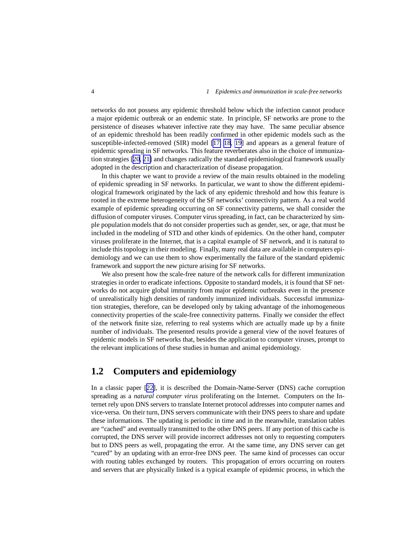networks do not possess any epidemic threshold below which the infection cannot produce a major epidemic outbreak or an endemic state. In principle, SF networks are prone to the persistence of diseases whatever infective rate they may have. The same peculiar absence of an epidemic threshold has been readily confirmed in other epidemic models such as the susceptible-infected-removed (SIR) model [\[17,](#page-20-0) [18](#page-20-0), [19\]](#page-20-0) and appears as a general feature of epidemic spreading in SF networks. This feature reverberates also in the choice of immunization strategies [[20,](#page-20-0) [21\]](#page-20-0) and changes radically the standard epidemiological framework usually adopted in the description and characterization of disease propagation.

In this chapter we want to provide a review of the main results obtained in the modeling of epidemic spreading in SF networks. In particular, we want to show the different epidemiological framework originated by the lack of any epidemic threshold and how this feature is rooted in the extreme heterogeneity of the SF networks' connectivity pattern. As a real world example of epidemic spreading occurring on SF connectivity patterns, we shall consider the diffusion of computer viruses. Computer virus spreading, in fact, can be characterized by simple population models that do not consider properties such as gender, sex, or age, that must be included in the modeling of STD and other kinds of epidemics. On the other hand, computer viruses proliferate in the Internet, that is a capital example of SF network, and it is natural to include this topology in their modeling. Finally, many real data are available in computers epidemiology and we can use them to show experimentally the failure of the standard epidemic framework and support the new picture arising for SF networks.

We also present how the scale-free nature of the network calls for different immunization strategies in order to eradicate infections. Opposite to standard models, it is found that SF networks do not acquire global immunity from major epidemic outbreaks even in the presence of unrealistically high densities of randomly immunized individuals. Successful immunization strategies, therefore, can be developed only by taking advantage of the inhomogeneous connectivity properties of the scale-free connectivity patterns. Finally we consider the effect of the network finite size, referring to real systems which are actually made up by a finite number of individuals. The presented results provide a general view of the novel features of epidemic models in SF networks that, besides the application to computer viruses, prompt to the relevant implications of these studies in human and animal epidemiology.

# **1.2 Computers and epidemiology**

In a classic paper [[22\]](#page-20-0), it is described the Domain-Name-Server (DNS) cache corruption spreading as a *natural computer virus* proliferating on the Internet. Computers on the Internet rely upon DNS servers to translate Internet protocol addresses into computer names and vice-versa. On their turn, DNS servers communicate with their DNS peers to share and update these informations. The updating is periodic in time and in the meanwhile, translation tables are "cached" and eventually transmitted to the other DNS peers. If any portion of this cache is corrupted, the DNS server will provide incorrect addresses not only to requesting computers but to DNS peers as well, propagating the error. At the same time, any DNS server can get "cured" by an updating with an error-free DNS peer. The same kind of processes can occur with routing tables exchanged by routers. This propagation of errors occurring on routers and servers that are physically linked is a typical example of epidemic process, in which the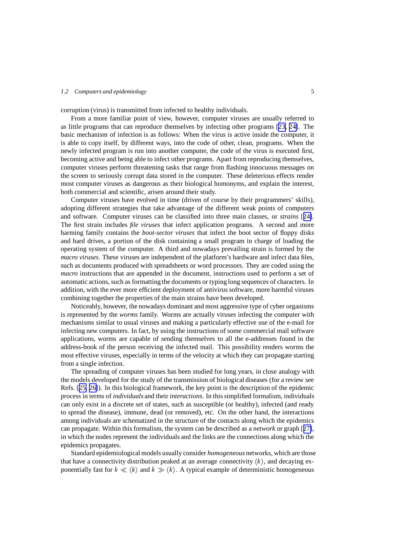#### *1.2 Computers and epidemiology* 5

corruption (virus) is transmitted from infected to healthy individuals.

From a more familiar point of view, however, computer viruses are usually referred to as little programs that can reproduce themselves by infecting other programs [[23,](#page-20-0) [24\]](#page-20-0). The basic mechanism of infection is as follows: When the virus is active inside the computer, it is able to copy itself, by different ways, into the code of other, clean, programs. When the newly infected program is run into another computer, the code of the virus is executed first, becoming active and being able to infect other programs. Apart from reproducing themselves, computer viruses perform threatening tasks that range from flashing innocuous messages on the screen to seriously corrupt data stored in the computer. These deleterious effects render most computer viruses as dangerous as their biological homonyms, and explain the interest, both commercial and scientific, arisen around their study.

Computer viruses have evolved in time (driven of course by their programmers' skills), adopting different strategies that take advantage of the different weak points of computers and software. Computer viruses can be classified into three main classes, or *strains* [[24\]](#page-20-0). The first strain includes *file viruses* that infect application programs. A second and more harming family contains the *boot-sector viruses* that infect the boot sector of floppy disks and hard drives, a portion of the disk containing a small program in charge of loading the operating system of the computer. A third and nowadays prevailing strain is formed by the *macro viruses*. These viruses are independent of the platform's hardware and infect data files, such as documents produced with spreadsheets or word processors. They are coded using the *macro* instructions that are appended in the document, instructions used to perform a set of automatic actions, such as formatting the documents or typing long sequences of characters. In addition, with the ever more efficient deployment of antivirus software, more harmful viruses combining together the properties of the main strains have been developed.

Noticeably, however, the nowadays dominant and most aggressive type of cyber organisms is represented by the *worms* family. Worms are actually viruses infecting the computer with mechanisms similar to usual viruses and making a particularly effective use of the e-mail for infecting new computers. In fact, by using the instructions of some commercial mail software applications, worms are capable of sending themselves to all the e-addresses found in the address-book of the person receiving the infected mail. This possibility renders worms the most effective viruses, especially in terms of the velocity at which they can propagate starting from a single infection.

The spreading of computer viruses has been studied for long years, in close analogy with the models developed for the study of the transmission of biological diseases (for a review see Refs. [[25,](#page-20-0) [26\]](#page-20-0)). In this biological framework, the key point is the description of the epidemic process in terms of *individuals* and their *interactions*. In this simplified formalism, individuals can only exist in a discrete set of states, such as susceptible (or healthy), infected (and ready to spread the disease), immune, dead (or removed), etc. On the other hand, the interactions among individuals are schematized in the structure of the contacts along which the epidemics can propagate. Within this formalism, the system can be described as a *network* or graph [[27\]](#page-20-0), in which the nodes represent the individuals and the links are the connections along which the epidemics propagates.

Standard epidemiological models usually consider *homogeneous* networks, which are those that have a connectivity distribution peaked at an average connectivity  $\langle k \rangle$ , and decaying exponentially fast for  $k \ll \langle k \rangle$  and  $k \gg \langle k \rangle$ . A typical example of deterministic homogeneous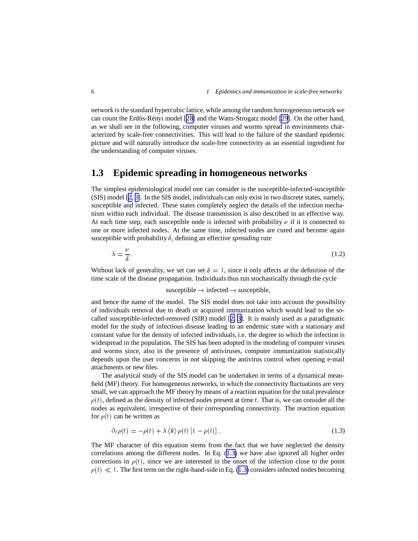network is the standard hypercubic lattice, while among the random homogeneous network we can count the Erdös-Rényi model  $[28]$  $[28]$  and the Watts-Strogatz model  $[29]$  $[29]$ . On the other hand, as we shall see in the following, computer viruses and worms spread in environments characterized by scale-free connectivities. This will lead to the failure of the standard epidemic picture and will naturally introduce the scale-free connectivity as an essential ingredient for the understanding of computer viruses.

## **1.3 Epidemic spreading in homogeneous networks**

The simplest epidemiological model one can consider is the susceptible-infected-susceptible (SIS) model [[2,](#page-19-0) [3\]](#page-19-0). In the SIS model, individuals can only exist in two discrete states, namely, susceptible and infected. These states completely neglect the details of the infection mechanism within each individual. The disease transmission is also described in an effective way. At each time step, each susceptible node is infected with probability  $\nu$  if it is connected to one or more infected nodes. At the same time, infected nodes are cured and become again susceptible with probability , defining an effective *spreading rate*

$$
\lambda = \frac{\nu}{\delta}.\tag{1.2}
$$

Without lack of generality, we set can set  $\delta = 1$ , since it only affects at the definition of the time scale of the disease propagation. Individuals thus run stochastically through the cycle

susceptible  $\rightarrow$  infected  $\rightarrow$  susceptible,

and hence the name of the model. The SIS model does not take into account the possibility of individuals removal due to death or acquired immunization which would lead to the socalled susceptible-infected-removed (SIR) model [[2,](#page-19-0) [3\]](#page-19-0). It is mainly used as a paradigmatic model for the study of infectious disease leading to an endemic state with a stationary and constant value for the density of infected individuals, i.e. the degree to which the infection is widespread in the population. The SIS has been adopted in the modeling of computer viruses and worms since, also in the presence of antiviruses, computer immunization statistically depends upon the user concerns in not skipping the antivirus control when opening e-mail attachments or new files.

The analytical study of the SIS model can be undertaken in terms of a dynamical meanfield (MF) theory. For homogeneous networks, in which the connectivity fluctuations are very small, we can approach the MF theory by means of a reaction equation for the total prevalence  $\rho(t)$ , defined as the density of infected nodes present at time t. That is, we can consider all the nodes as equivalent, irrespective of their corresponding connectivity. The reaction equation for  $\rho(t)$  can be written as

$$
\partial_t \rho(t) = -\rho(t) + \lambda \langle k \rangle \rho(t) \left[ 1 - \rho(t) \right]. \tag{1.3}
$$

The MF character of this equation stems from the fact that we have neglected the density correlations among the different nodes. In Eq. (1.3) we have also ignored all higher order corrections in  $\rho(t)$ , since we are interested in the onset of the infection close to the point  $\rho(t) \ll 1$ . The first term on the right-hand-side in Eq. (1.3) considers infected nodes becoming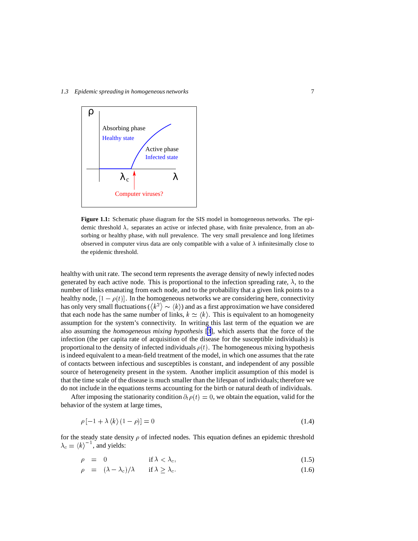<span id="page-6-0"></span>

**Figure 1.1:** Schematic phase diagram for the SIS model in homogeneous networks. The epidemic threshold  $\lambda_c$  separates an active or infected phase, with finite prevalence, from an absorbing or healthy phase, with null prevalence. The very small prevalence and long lifetimes observed in computer virus data are only compatible with a value of  $\lambda$  infinitesimally close to the epidemic threshold.

healthy with unit rate. The second term represents the average density of newly infected nodes generated by each active node. This is proportional to the infection spreading rate,  $\lambda$ , to the number of links emanating from each node, and to the probability that a given link points to a healthy node,  $[1 - \rho(t)]$ . In the homogeneous networks we are considering here, connectivity has only very small fluctuations ( $\langle k^2 \rangle \sim \langle k \rangle$ ) and as a first approximation we have considered that each node has the same number of links,  $k \simeq \langle k \rangle$ . This is equivalent to an homogeneity assumption for the system's connectivity. In writing this last term of the equation we are also assuming the *homogeneous mixing hypothesis* [\[3](#page-19-0)], which asserts that the force of the infection (the per capita rate of acquisition of the disease for the susceptible individuals) is proportional to the density of infected individuals  $\rho(t)$ . The homogeneous mixing hypothesis is indeed equivalent to a mean-field treatment of the model, in which one assumes that the rate of contacts between infectious and susceptibles is constant, and independent of any possible source of heterogeneity present in the system. Another implicit assumption of this model is that the time scale of the disease is much smaller than the lifespan of individuals; therefore we do not include in the equations terms accounting for the birth or natural death of individuals.

After imposing the stationarity condition  $\partial_t \rho(t) = 0$ , we obtain the equation, valid for the behavior of the system at large times,

$$
\rho \left[ -1 + \lambda \left\langle k \right\rangle (1 - \rho) \right] = 0 \tag{1.4}
$$

for the steady state density  $\rho$  of infected nodes. This equation defines an epidemic threshold  $\lambda_c = \langle k \rangle^{-1}$ , and yields:

$$
\rho = 0 \qquad \qquad \text{if } \lambda < \lambda_c,\tag{1.5}
$$

$$
\rho = (\lambda - \lambda_c)/\lambda \quad \text{if } \lambda \ge \lambda_c. \tag{1.6}
$$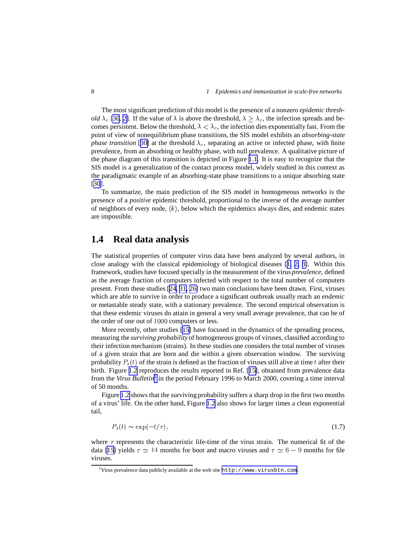The most significant prediction of this model is the presence of a nonzero *epidemic threshold*  $\lambda_c$  [\[30](#page-20-0), [2\]](#page-19-0). If the value of  $\lambda$  is above the threshold,  $\lambda \geq \lambda_c$ , the infection spreads and becomes persistent. Below the threshold,  $\lambda < \lambda_c$ , the infection dies exponentially fast. From the point of view of nonequilibrium phase transitions, the SIS model exhibits an *absorbing-state phase transition* [[30\]](#page-20-0) at the threshold  $\lambda_c$ , separating an active or infected phase, with finite prevalence, from an absorbing or healthy phase, with null prevalence. A qualitative picture of the phase diagram of this transition is depicted in Figure [1.1](#page-6-0). It is easy to recognize that the SIS model is a generalization of the contact process model, widely studied in this context as the paradigmatic example of an absorbing-state phase transitions to a unique absorbing state [\[30](#page-20-0)].

To summarize, the main prediction of the SIS model in homogeneous networks is the presence of a *positive* epidemic threshold, proportional to the inverse of the average number of neighbors of every node,  $\langle k \rangle$ , below which the epidemics always dies, and endemic states are impossible.

### **1.4 Real data analysis**

The statistical properties of computer virus data have been analyzed by several authors, in close analogy with the classical epidemiology of biological diseases [[1,](#page-19-0) [2,](#page-19-0) [3\]](#page-19-0). Within this framework, studies have focused specially in the measurement of the virus *prevalence*, defined as the average fraction of computers infected with respect to the total number of computers present. From these studies [\[24,](#page-20-0) [31,](#page-20-0) [26\]](#page-20-0) two main conclusions have been drawn. First, viruses which are able to survive in order to produce a significant outbreak usually reach an *endemic* or metastable steady state, with a stationary prevalence. The second empirical observation is that these endemic viruses do attain in general a very small average prevalence, that can be of the order of one out of 1000 computers or less.

More recently, other studies [\[15](#page-20-0)] have focused in the dynamics of the spreading process, measuring the *surviving probability* of homogeneous groups of viruses, classified according to their infection mechanism (strains). In these studies one considers the total number of viruses of a given strain that are born and die within a given observation window. The surviving probability  $P_s(t)$  of the strain is defined as the fraction of viruses still alive at time t after their birth. Figure [1.2](#page-8-0) reproduces the results reported in Ref. [[15\]](#page-20-0), obtained from prevalence data from the *Virus Bulletin*<sup>1</sup> in the period February 1996 to March 2000, covering a time interval of 50 months.

Figure [1.2](#page-8-0) shows that the surviving probability suffers a sharp drop in the first two months of a virus' life. On the other hand, Figure [1.2](#page-8-0) also shows for larger times a clean exponential tail,

$$
P_s(t) \sim \exp(-t/\tau),\tag{1.7}
$$

where  $\tau$  represents the characteristic life-time of the virus strain. The numerical fit of the data [[15\]](#page-20-0) yields  $\tau \simeq 14$  months for boot and macro viruses and  $\tau \simeq 6-9$  months for file viruses.

<sup>&</sup>lt;sup>1</sup>Virus prevalence data publicly available at the web site <http://www.virusbtn.com>.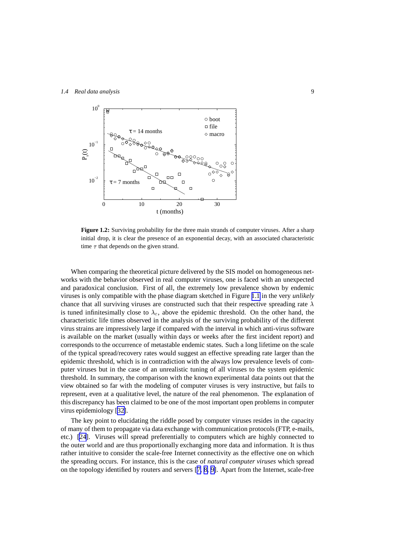#### <span id="page-8-0"></span>*1.4 Real data analysis* 9



**Figure 1.2:** Surviving probability for the three main strands of computer viruses. After a sharp initial drop, it is clear the presence of an exponential decay, with an associated characteristic time  $\tau$  that depends on the given strand.

When comparing the theoretical picture delivered by the SIS model on homogeneous networks with the behavior observed in real computer viruses, one is faced with an unexpected and paradoxical conclusion. First of all, the extremely low prevalence shown by endemic viruses is only compatible with the phase diagram sketched in Figure [1.1](#page-6-0) in the very *unlikely* chance that all surviving viruses are constructed such that their respective spreading rate  $\lambda$ is tuned infinitesimally close to  $\lambda_c$ , above the epidemic threshold. On the other hand, the characteristic life times observed in the analysis of the surviving probability of the different virus strains are impressively large if compared with the interval in which anti-virus software is available on the market (usually within days or weeks after the first incident report) and corresponds to the occurrence of metastable endemic states. Such a long lifetime on the scale of the typical spread/recovery rates would suggest an effective spreading rate larger than the epidemic threshold, which is in contradiction with the always low prevalence levels of computer viruses but in the case of an unrealistic tuning of all viruses to the system epidemic threshold. In summary, the comparison with the known experimental data points out that the view obtained so far with the modeling of computer viruses is very instructive, but fails to represent, even at a qualitative level, the nature of the real phenomenon. The explanation of this discrepancy has been claimed to be one of the most important open problems in computer virus epidemiology [[32\]](#page-20-0).

The key point to elucidating the riddle posed by computer viruses resides in the capacity of many of them to propagate via data exchange with communication protocols (FTP, e-mails, etc.) [\[24](#page-20-0)]. Viruses will spread preferentially to computers which are highly connected to the outer world and are thus proportionally exchanging more data and information. It is thus rather intuitive to consider the scale-free Internet connectivity as the effective one on which the spreading occurs. For instance, this is the case of *natural computer viruses* which spread on the topology identified by routers and servers [[7,](#page-19-0) [8,](#page-19-0) [9\]](#page-19-0). Apart from the Internet, scale-free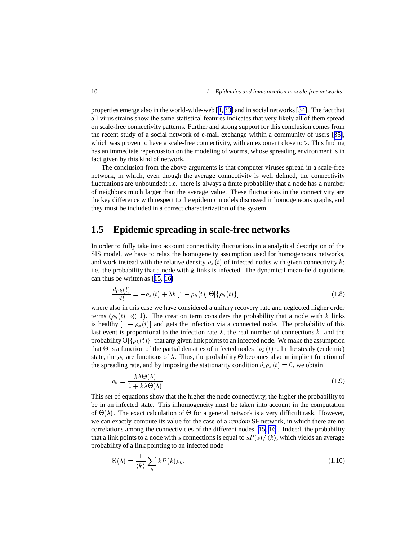<span id="page-9-0"></span>properties emerge also in the world-wide-web [[4,](#page-19-0) [33\]](#page-20-0) and in social networks[[34\]](#page-20-0). The fact that all virus strains show the same statistical features indicates that very likely all of them spread on scale-free connectivity patterns. Further and strong support for this conclusion comes from the recent study of a social network of e-mail exchange within a community of users [[35\]](#page-21-0), which was proven to have a scale-free connectivity, with an exponent close to 2. This finding has an immediate repercussion on the modeling of worms, whose spreading environment is in fact given by this kind of network.

The conclusion from the above arguments is that computer viruses spread in a scale-free network, in which, even though the average connectivity is well defined, the connectivity fluctuations are unbounded; i.e. there is always a finite probability that a node has a number of neighbors much larger than the average value. These fluctuations in the connectivity are the key difference with respect to the epidemic models discussed in homogeneous graphs, and they must be included in a correct characterization of the system.

# **1.5 Epidemic spreading in scale-free networks**

In order to fully take into account connectivity fluctuations in a analytical description of the SIS model, we have to relax the homogeneity assumption used for homogeneous networks, and work instead with the relative density  $\rho_k(t)$  of infected nodes with given connectivity k; i.e. the probability that a node with  $k$  links is infected. The dynamical mean-field equations can thus be written as [[15,](#page-20-0) [16\]](#page-20-0)

$$
\frac{d\rho_k(t)}{dt} = -\rho_k(t) + \lambda k [1 - \rho_k(t)] \Theta[\{\rho_k(t)\}], \tag{1.8}
$$

where also in this case we have considered a unitary recovery rate and neglected higher order terms  $(\rho_k(t) \ll 1)$ . The creation term considers the probability that a node with k links is healthy  $[1 - \rho_k(t)]$  and gets the infection via a connected node. The probability of this last event is proportional to the infection rate  $\lambda$ , the real number of connections k, and the probability  $\Theta[\{\rho_k(t)\}]$  that any given link points to an infected node. We make the assumption that  $\Theta$  is a function of the partial densities of infected nodes  $\{\rho_k(t)\}\$ . In the steady (endemic) state, the  $\rho_k$  are functions of  $\lambda$ . Thus, the probability  $\Theta$  becomes also an implicit function of the spreading rate, and by imposing the stationarity condition  $\partial_t \rho_k(t) = 0$ , we obtain

$$
\rho_k = \frac{k\lambda\Theta(\lambda)}{1 + k\lambda\Theta(\lambda)}.\tag{1.9}
$$

This set of equations show that the higher the node connectivity, the higher the probability to be in an infected state. This inhomogeneity must be taken into account in the computation of  $\Theta(\lambda)$ . The exact calculation of  $\Theta$  for a general network is a very difficult task. However, we can exactly compute its value for the case of a *random* SF network, in which there are no correlations among the connectivities of the different nodes [[15,](#page-20-0) [16\]](#page-20-0). Indeed, the probability that a link points to a node with s connections is equal to  $sP(s)/\langle k \rangle$ , which yields an average probability of a link pointing to an infected node

$$
\Theta(\lambda) = \frac{1}{\langle k \rangle} \sum_{k} k P(k) \rho_k. \tag{1.10}
$$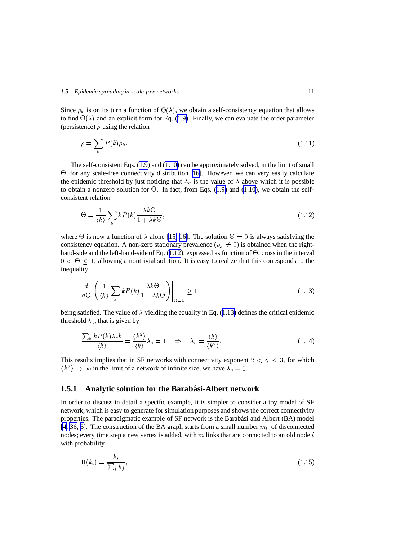#### <span id="page-10-0"></span>*1.5 Epidemic spreading in scale-free networks* 11

Since  $\rho_k$  is on its turn a function of  $\Theta(\lambda)$ , we obtain a self-consistency equation that allows to find  $\Theta(\lambda)$  and an explicit form for Eq. ([1.9\)](#page-9-0). Finally, we can evaluate the order parameter (persistence)  $\rho$  using the relation

$$
\rho = \sum_{k} P(k)\rho_k. \tag{1.11}
$$

The self-consistent Eqs. [\(1.9\)](#page-9-0) and ([1.10\)](#page-9-0) can be approximately solved, in the limit of small , for any scale-free connectivity distribution [\[16](#page-20-0)]. However, we can very easily calculate the epidemic threshold by just noticing that  $\lambda_c$  is the value of  $\lambda$  above which it is possible to obtain a nonzero solution for  $\Theta$ . In fact, from Eqs. [\(1.9\)](#page-9-0) and [\(1.10\)](#page-9-0), we obtain the selfconsistent relation

$$
\Theta = \frac{1}{\langle k \rangle} \sum_{k} k P(k) \frac{\lambda k \Theta}{1 + \lambda k \Theta},\tag{1.12}
$$

where  $\Theta$  is now a function of  $\lambda$  alone [\[15,](#page-20-0) [16\]](#page-20-0). The solution  $\Theta = 0$  is always satisfying the consistency equation. A non-zero stationary prevalence ( $\rho_k \neq 0$ ) is obtained when the righthand-side and the left-hand-side of Eq.  $(1.12)$ , expressed as function of  $\Theta$ , cross in the interval  $0 < \Theta \leq 1$ , allowing a nontrivial solution. It is easy to realize that this corresponds to the inequality

$$
\frac{d}{d\Theta} \left( \frac{1}{\langle k \rangle} \sum_{k} k P(k) \frac{\lambda k \Theta}{1 + \lambda k \Theta} \right) \Big|_{\Theta = 0} \ge 1
$$
\n(1.13)

being satisfied. The value of  $\lambda$  yielding the equality in Eq. (1.13) defines the critical epidemic threshold  $\lambda_c$ , that is given by

$$
\frac{\sum_{k} k P(k) \lambda_{c} k}{\langle k \rangle} = \frac{\langle k^{2} \rangle}{\langle k \rangle} \lambda_{c} = 1 \quad \Rightarrow \quad \lambda_{c} = \frac{\langle k \rangle}{\langle k^{2} \rangle}.
$$
 (1.14)

This results implies that in SF networks with connectivity exponent  $2 < \gamma \leq 3$ , for which  $\langle k^2 \rangle \to \infty$  in the limit of a network of infinite size, we have  $\lambda_c = 0$ .

#### **1.5.1 Analytic solution for the Barabasi-Albert ´ network**

 $\sim$   $\sim$ 

In order to discuss in detail a specific example, it is simpler to consider a toy model of SF network, which is easy to generate for simulation purposes and shows the correct connectivity properties. The paradigmatic example of SF network is the Barabási and Albert (BA) model [\[4](#page-19-0), [36,](#page-21-0) [5\]](#page-19-0). The construction of the BA graph starts from a small number  $m_0$  of disconnected nodes; every time step a new vertex is added, with  $m$  links that are connected to an old node  $i$ with probability

$$
\Pi(k_i) = \frac{k_i}{\sum_j k_j},\tag{1.15}
$$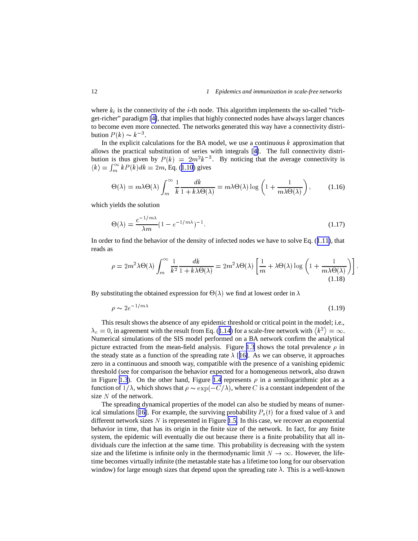<span id="page-11-0"></span>where  $k_i$  is the connectivity of the *i*-th node. This algorithm implements the so-called "richget-richer" paradigm [\[4\]](#page-19-0), that implies that highly connected nodes have always larger chances to become even more connected. The networks generated this way have a connectivity distribution  $P(k) \sim k^{-3}$ .

In the explicit calculations for the BA model, we use a continuous  $k$  approximation that allows the practical substitution of series with integrals [[4\]](#page-19-0). The full connectivity distribution is thus given by  $P(k) = 2m^2k^{-3}$ . By noticing that the average connectivity is  $\langle k \rangle = \int_{m}^{\infty} k P(k) dk = 2m$ , Eq. ([1.10](#page-9-0)) gives

$$
\Theta(\lambda) = m\lambda \Theta(\lambda) \int_m^{\infty} \frac{1}{k} \frac{dk}{1 + k\lambda \Theta(\lambda)} = m\lambda \Theta(\lambda) \log \left( 1 + \frac{1}{m\lambda \Theta(\lambda)} \right), \quad (1.16)
$$

which yields the solution

$$
\Theta(\lambda) = \frac{e^{-1/m\lambda}}{\lambda m} (1 - e^{-1/m\lambda})^{-1}.
$$
\n(1.17)

In order to find the behavior of the density of infected nodes we have to solve Eq. ([1.11\)](#page-10-0), that reads as

$$
\rho = 2m^2 \lambda \Theta(\lambda) \int_m^{\infty} \frac{1}{k^2} \frac{dk}{1 + k \lambda \Theta(\lambda)} = 2m^2 \lambda \Theta(\lambda) \left[ \frac{1}{m} + \lambda \Theta(\lambda) \log \left( 1 + \frac{1}{m \lambda \Theta(\lambda)} \right) \right].
$$
\n(1.18)

By substituting the obtained expression for  $\Theta(\lambda)$  we find at lowest order in

$$
\rho \sim 2e^{-1/m\lambda} \tag{1.19}
$$

This result shows the absence of any epidemic threshold or critical point in the model; i.e.,  $\lambda_c = 0$ , in agreement with the result from Eq. ([1.14\)](#page-10-0) for a scale-free network with  $\langle k^2 \rangle = \infty$ . Numerical simulations of the SIS model performed on a BA network confirm the analytical picture extracted from the mean-field analysis. Figure [1.3](#page-12-0) shows the total prevalence  $\rho$  in the steady state as a function of the spreading rate  $\lambda$  [[16\]](#page-20-0). As we can observe, it approaches zero in a continuous and smooth way, compatible with the presence of a vanishing epidemic threshold (see for comparison the behavior expected for a homogeneous network, also drawn in Figure [1.3](#page-12-0)). On the other hand, Figure [1.4](#page-12-0) represents  $\rho$  in a semilogarithmic plot as a function of  $1/\lambda$ , which shows that  $\rho \sim \exp(-C/\lambda)$ , where C is a constant independent of the size  $N$  of the network.

The spreading dynamical properties of the model can also be studied by means of numer-ical simulations [[16\]](#page-20-0). For example, the surviving probability  $P_s(t)$  for a fixed value of  $\lambda$  and different network sizes  $N$  is represented in Figure [1.5.](#page-13-0) In this case, we recover an exponential behavior in time, that has its origin in the finite size of the network. In fact, for any finite system, the epidemic will eventually die out because there is a finite probability that all individuals cure the infection at the same time. This probability is decreasing with the system size and the lifetime is infinite only in the thermodynamic limit  $N \to \infty$ . However, the lifetime becomes virtually infinite (the metastable state has a lifetime too long for our observation window) for large enough sizes that depend upon the spreading rate  $\lambda$ . This is a well-known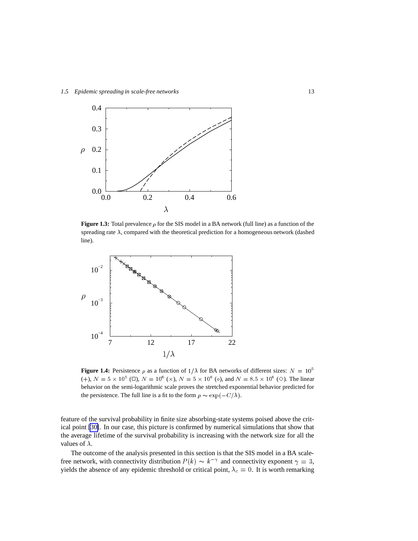<span id="page-12-0"></span>

**Figure 1.3:** Total prevalence  $\rho$  for the SIS model in a BA network (full line) as a function of the spreading rate  $\lambda$ , compared with the theoretical prediction for a homogeneous network (dashed line).



**Figure 1.4:** Persistence  $\rho$  as a function of  $1/\lambda$  for BA networks of different sizes:  $N = 10^5$ (+),  $N = 5 \times 10^5$  ( $\Box$ ),  $N = 10^6$  ( $\times$ ),  $N = 5 \times 10^6$  ( $\circ$ ), and  $N = 8.5 \times 10^6$  ( $\Diamond$ ). The linear behavior on the semi-logarithmic scale proves the stretched exponential behavior predicted for the persistence. The full line is a fit to the form  $\rho \sim \exp(-C/\lambda)$ .

feature of the survival probability in finite size absorbing-state systems poised above the critical point [\[30\]](#page-20-0). In our case, this picture is confirmed by numerical simulations that show that the average lifetime of the survival probability is increasing with the network size for all the values of  $\lambda$ .

The outcome of the analysis presented in this section is that the SIS model in a BA scalefree network, with connectivity distribution  $P(k) \sim k^{-\gamma}$  and connectivity exponent  $\gamma = 3$ , yields the absence of any epidemic threshold or critical point,  $\lambda_c = 0$ . It is worth remarking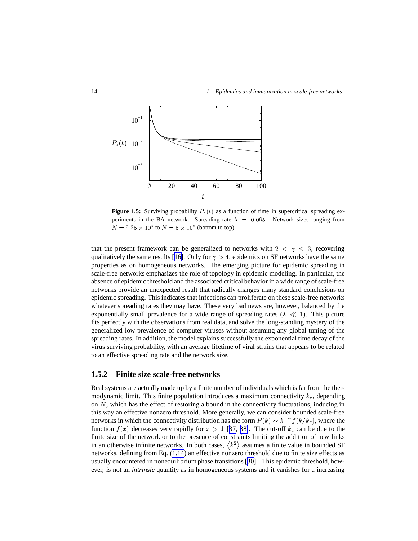#### <span id="page-13-0"></span>14 *1 Epidemics and immunization in scale-free networks*



**Figure 1.5:** Surviving probability  $P_s(t)$  as a function of time in supercritical spreading experiments in the BA network. Spreading rate  $\lambda = 0.065$ . Network sizes ranging from  $N = 6.25 \times 10^3$  to  $N = 5 \times 10^5$  (bottom to top).

that the present framework can be generalized to networks with  $2 < \gamma \leq 3$ , recovering qualitatively the same results [[16\]](#page-20-0). Only for  $\gamma > 4$ , epidemics on SF networks have the same properties as on homogeneous networks. The emerging picture for epidemic spreading in scale-free networks emphasizes the role of topology in epidemic modeling. In particular, the absence of epidemic threshold and the associated critical behavior in a wide range of scale-free networks provide an unexpected result that radically changes many standard conclusions on epidemic spreading. This indicates that infections can proliferate on these scale-free networks whatever spreading rates they may have. These very bad news are, however, balanced by the exponentially small prevalence for a wide range of spreading rates ( $\lambda \ll 1$ ). This picture fits perfectly with the observations from real data, and solve the long-standing mystery of the generalized low prevalence of computer viruses without assuming any global tuning of the spreading rates. In addition, the model explains successfully the exponential time decay of the virus surviving probability, with an average lifetime of viral strains that appears to be related to an effective spreading rate and the network size.

#### **1.5.2 Finite size scale-free networks**

Real systems are actually made up by a finite number of individuals which is far from the thermodynamic limit. This finite population introduces a maximum connectivity  $k_c$ , depending on  $N$ , which has the effect of restoring a bound in the connectivity fluctuations, inducing in this way an effective nonzero threshold. More generally, we can consider bounded scale-free networks in which the connectivity distribution has the form  $P(k) \sim k^{-\gamma} f(k/k_c)$ , where the function  $f(x)$  decreases very rapidly for  $x > 1$  [[37,](#page-21-0) [38\]](#page-21-0). The cut-off  $k_c$  can be due to the finite size of the network or to the presence of constraints limiting the addition of new links in an otherwise infinite networks. In both cases,  $\langle k^2 \rangle$  assumes a finite value in bounded SF networks, defining from Eq. [\(1.14\)](#page-10-0) an effective nonzero threshold due to finite size effects as usually encountered in nonequilibrium phase transitions [\[30\]](#page-20-0). This epidemic threshold, however, is not an *intrinsic* quantity as in homogeneous systems and it vanishes for a increasing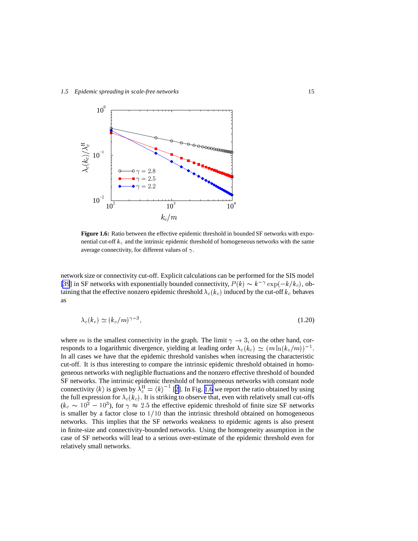

**Figure 1.6:** Ratio between the effective epidemic threshold in bounded SF networks with exponential cut-off  $k_c$  and the intrinsic epidemic threshold of homogeneous networks with the same average connectivity, for different values of  $\gamma$ .

network size or connectivity cut-off. Explicit calculations can be performed for the SIS model [\[39](#page-21-0)] in SF networks with exponentially bounded connectivity,  $P(k) \sim k^{-\gamma} \exp(-k/k_c)$ , obtaining that the effective nonzero epidemic threshold  $\lambda_c(k_c)$  induced by the cut-off  $k_c$  behaves as

$$
\lambda_c(k_c) \simeq (k_c/m)^{\gamma - 3},\tag{1.20}
$$

where m is the smallest connectivity in the graph. The limit  $\gamma \to 3$ , on the other hand, corresponds to a logarithmic divergence, yielding at leading order  $\lambda_c(k_c) \simeq (m \ln(k_c/m))^{-1}$ . In all cases we have that the epidemic threshold vanishes when increasing the characteristic cut-off. It is thus interesting to compare the intrinsic epidemic threshold obtained in homogeneous networks with negligible fluctuations and the nonzero effective threshold of bounded SF networks. The intrinsic epidemic threshold of homogeneous networks with constant node connectivity  $\langle k \rangle$  is given by  $\lambda_c^{\text{H}} = \langle k \rangle^{-1}$  [[2\]](#page-19-0). In Fig. 1.6 we report the ratio obtained by using the full expression for  $\lambda_c(k_c)$ . It is striking to observe that, even with relatively small cut-offs  $(k_c \sim 10^2 - 10^3)$ , for  $\gamma \approx 2.5$  the effective epidemic threshold of finite size SF networks is smaller by a factor close to  $1/10$  than the intrinsic threshold obtained on homogeneous networks. This implies that the SF networks weakness to epidemic agents is also present in finite-size and connectivity-bounded networks. Using the homogeneity assumption in the case of SF networks will lead to a serious over-estimate of the epidemic threshold even for relatively small networks.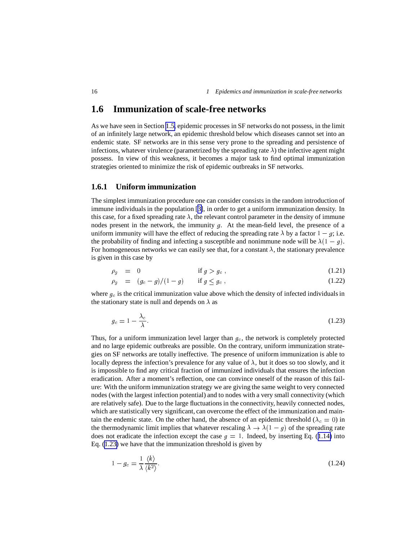# <span id="page-15-0"></span>**1.6 Immunization of scale-free networks**

As we have seen in Section [1.5,](#page-9-0) epidemic processes in SF networks do not possess, in the limit of an infinitely large network, an epidemic threshold below which diseases cannot set into an endemic state. SF networks are in this sense very prone to the spreading and persistence of infections, whatever virulence (parametrized by the spreading rate  $\lambda$ ) the infective agent might possess. In view of this weakness, it becomes a major task to find optimal immunization strategies oriented to minimize the risk of epidemic outbreaks in SF networks.

#### **1.6.1 Uniform immunization**

The simplest immunization procedure one can consider consists in the random introduction of immune individuals in the population [[3\]](#page-19-0), in order to get a uniform immunization density. In this case, for a fixed spreading rate  $\lambda$ , the relevant control parameter in the density of immune nodes present in the network, the immunity  $g$ . At the mean-field level, the presence of a uniform immunity will have the effect of reducing the spreading rate  $\lambda$  by a factor  $1 - g$ ; i.e. the probability of finding and infecting a susceptible and nonimmune node will be  $\lambda(1-g)$ . For homogeneous networks we can easily see that, for a constant  $\lambda$ , the stationary prevalence is given in this case by

$$
\rho_g = 0 \qquad \qquad \text{if } g > g_c \,, \tag{1.21}
$$

$$
\rho_g = (g_c - g)/(1 - g) \quad \text{if } g \le g_c , \tag{1.22}
$$

where  $g_c$  is the critical immunization value above which the density of infected individuals in the stationary state is null and depends on  $\lambda$  as

$$
g_c = 1 - \frac{\lambda_c}{\lambda}.\tag{1.23}
$$

Thus, for a uniform immunization level larger than  $g_c$ , the network is completely protected and no large epidemic outbreaks are possible. On the contrary, uniform immunization strategies on SF networks are totally ineffective. The presence of uniform immunization is able to locally depress the infection's prevalence for any value of  $\lambda$ , but it does so too slowly, and it is impossible to find any critical fraction of immunized individuals that ensures the infection eradication. After a moment's reflection, one can convince oneself of the reason of this failure: With the uniform immunization strategy we are giving the same weight to very connected nodes (with the largest infection potential) and to nodes with a very small connectivity (which are relatively safe). Due to the large fluctuations in the connectivity, heavily connected nodes, which are statistically very significant, can overcome the effect of the immunization and maintain the endemic state. On the other hand, the absence of an epidemic threshold ( $\lambda_c = 0$ ) in the thermodynamic limit implies that whatever rescaling  $\lambda \to \lambda(1-g)$  of the spreading rate does not eradicate the infection except the case  $g = 1$ . Indeed, by inserting Eq. ([1.14\)](#page-10-0) into Eq. (1.23) we have that the immunization threshold is given by

$$
1 - g_c = \frac{1}{\lambda} \frac{\langle k \rangle}{\langle k^2 \rangle}.
$$
\n(1.24)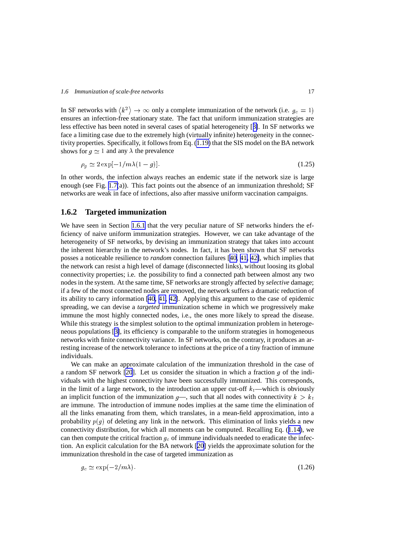<span id="page-16-0"></span>In SF networks with  $\langle k^2 \rangle \to \infty$  only a complete immunization of the network (i.e.  $g_c = 1$ ) ensures an infection-free stationary state. The fact that uniform immunization strategies are less effective has been noted in several cases of spatial heterogeneity [[3\]](#page-19-0). In SF networks we face a limiting case due to the extremely high (virtually infinite) heterogeneity in the connectivity properties. Specifically, it followsfrom Eq. [\(1.19\)](#page-11-0) that the SIS model on the BA network shows for  $g \sim 1$  and any  $\lambda$  the prevalence

$$
\rho_g \simeq 2 \exp[-1/m\lambda(1-g)]. \tag{1.25}
$$

In other words, the infection always reaches an endemic state if the network size is large enough (see Fig. [1.7\(](#page-17-0)a)). This fact points out the absence of an immunization threshold; SF networks are weak in face of infections, also after massive uniform vaccination campaigns.

#### **1.6.2 Targeted immunization**

We have seen in Section [1.6.1](#page-15-0) that the very peculiar nature of SF networks hinders the efficiency of naive uniform immunization strategies. However, we can take advantage of the heterogeneity of SF networks, by devising an immunization strategy that takes into account the inherent hierarchy in the network's nodes. In fact, it has been shown that SF networks posses a noticeable resilience to *random* connection failures [[40,](#page-21-0) [41,](#page-21-0) [42\]](#page-21-0), which implies that the network can resist a high level of damage (disconnected links), without loosing its global connectivity properties; i.e. the possibility to find a connected path between almost any two nodes in the system. At the same time, SF networks are strongly affected by *selective* damage; if a few of the most connected nodes are removed, the network suffers a dramatic reduction of its ability to carry information [\[40](#page-21-0), [41,](#page-21-0) [42\]](#page-21-0). Applying this argument to the case of epidemic spreading, we can devise a *targeted* immunization scheme in which we progressively make immune the most highly connected nodes, i.e., the ones more likely to spread the disease. While this strategy is the simplest solution to the optimal immunization problem in heterogeneous populations [[3\]](#page-19-0), its efficiency is comparable to the uniform strategies in homogeneous networks with finite connectivity variance. In SF networks, on the contrary, it produces an arresting increase of the network tolerance to infections at the price of a tiny fraction of immune individuals.

We can make an approximate calculation of the immunization threshold in the case of a random SF network [\[20](#page-20-0)]. Let us consider the situation in which a fraction  $g$  of the individuals with the highest connectivity have been successfully immunized. This corresponds, in the limit of a large network, to the introduction an upper cut-off  $k_t$ —which is obviously an implicit function of the immunization  $g$ —, such that all nodes with connectivity  $k > k_t$ are immune. The introduction of immune nodes implies at the same time the elimination of all the links emanating from them, which translates, in a mean-field approximation, into a probability  $p(g)$  of deleting any link in the network. This elimination of links yields a new connectivity distribution, for which all moments can be computed. Recalling Eq. ([1.14\)](#page-10-0), we can then compute the critical fraction  $g_c$  of immune individuals needed to eradicate the infection. An explicit calculation for the BA network [[20\]](#page-20-0) yields the approximate solution for the immunization threshold in the case of targeted immunization as

$$
g_c \simeq \exp(-2/m\lambda). \tag{1.26}
$$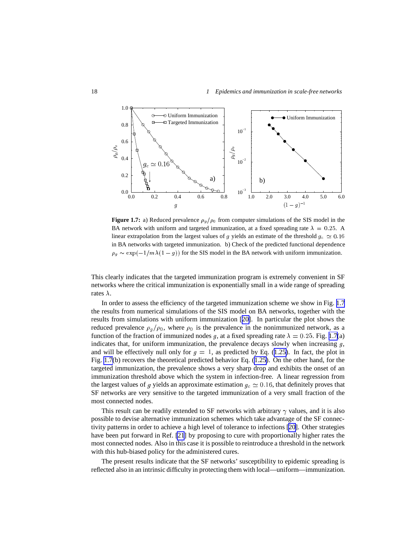<span id="page-17-0"></span>

**Figure 1.7:** a) Reduced prevalence  $\rho_q/\rho_0$  from computer simulations of the SIS model in the BA network with uniform and targeted immunization, at a fixed spreading rate  $\lambda = 0.25$ . A linear extrapolation from the largest values of g yields an estimate of the threshold  $q_c \approx 0.16$ in BA networks with targeted immunization. b) Check of the predicted functional dependence  $\rho_q \sim \exp(-1/m\lambda(1-q))$  for the SIS model in the BA network with uniform immunization.

This clearly indicates that the targeted immunization program is extremely convenient in SF networks where the critical immunization is exponentially small in a wide range of spreading rates  $\lambda$ .

In order to assess the efficiency of the targeted immunization scheme we show in Fig. 1.7 the results from numerical simulations of the SIS model on BA networks, together with the results from simulations with uniform immunization [[20\]](#page-20-0). In particular the plot shows the reduced prevalence  $\rho_g/\rho_0$ , where  $\rho_0$  is the prevalence in the nonimmunized network, as a function of the fraction of immunized nodes g, at a fixed spreading rate  $\lambda = 0.25$ . Fig. 1.7(a) indicates that, for uniform immunization, the prevalence decays slowly when increasing  $g$ , and will be effectively null only for  $g = 1$ , as predicted by Eq. ([1.25\)](#page-16-0). In fact, the plot in Fig. 1.7(b) recovers the theoretical predicted behavior Eq. ([1.25](#page-16-0)). On the other hand, for the targeted immunization, the prevalence shows a very sharp drop and exhibits the onset of an immunization threshold above which the system in infection-free. A linear regression from the largest values of g yields an approximate estimation  $g_c \approx 0.16$ , that definitely proves that SF networks are very sensitive to the targeted immunization of a very small fraction of the most connected nodes.

This result can be readily extended to SF networks with arbitrary  $\gamma$  values, and it is also possible to devise alternative immunization schemes which take advantage of the SF connectivity patterns in order to achieve a high level of tolerance to infections [\[20\]](#page-20-0). Other strategies have been put forward in Ref. [\[21](#page-20-0)] by proposing to cure with proportionally higher rates the most connected nodes. Also in this case it is possible to reintroduce a threshold in the network with this hub-biased policy for the administered cures.

The present results indicate that the SF networks' susceptibility to epidemic spreading is reflected also in an intrinsic difficulty in protecting them with local—uniform—immunization.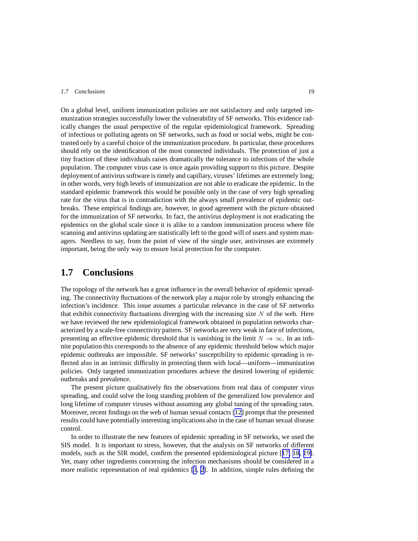#### *1.7 Conclusions* 19

On a global level, uniform immunization policies are not satisfactory and only targeted immunization strategies successfully lower the vulnerability of SF networks. This evidence radically changes the usual perspective of the regular epidemiological framework. Spreading of infectious or polluting agents on SF networks, such as food or social webs, might be contrasted only by a careful choice of the immunization procedure. In particular, these procedures should rely on the identification of the most connected individuals. The protection of just a tiny fraction of these individuals raises dramatically the tolerance to infections of the whole population. The computer virus case is once again providing support to this picture. Despite deployment of antivirus software is timely and capillary, viruses' lifetimes are extremely long; in other words, very high levels of immunization are not able to eradicate the epidemic. In the standard epidemic framework this would be possible only in the case of very high spreading rate for the virus that is in contradiction with the always small prevalence of epidemic outbreaks. These empirical findings are, however, in good agreement with the picture obtained for the immunization of SF networks. In fact, the antivirus deployment is not eradicating the epidemics on the global scale since it is alike to a random immunization process where file scanning and antivirus updating are statistically left to the good will of users and system managers. Needless to say, from the point of view of the single user, antiviruses are extremely important, being the only way to ensure local protection for the computer.

# **1.7 Conclusions**

The topology of the network has a great influence in the overall behavior of epidemic spreading. The connectivity fluctuations of the network play a major role by strongly enhancing the infection's incidence. This issue assumes a particular relevance in the case of SF networks that exhibit connectivity fluctuations diverging with the increasing size  $N$  of the web. Here we have reviewed the new epidemiological framework obtained in population networks characterized by a scale-free connectivity pattern. SF networks are very weak in face of infections, presenting an effective epidemic threshold that is vanishing in the limit  $N \to \infty$ . In an infinite population this corresponds to the absence of any epidemic threshold below which major epidemic outbreaks are impossible. SF networks' susceptibility to epidemic spreading is reflected also in an intrinsic difficulty in protecting them with local—uniform—immunization policies. Only targeted immunization procedures achieve the desired lowering of epidemic outbreaks and prevalence.

The present picture qualitatively fits the observations from real data of computer virus spreading, and could solve the long standing problem of the generalized low prevalence and long lifetime of computer viruses without assuming any global tuning of the spreading rates. Moreover, recent findings on the web of human sexual contacts [\[12\]](#page-19-0) prompt that the presented results could have potentially interesting implications also in the case of human sexual disease control.

In order to illustrate the new features of epidemic spreading in SF networks, we used the SIS model. It is important to stress, however, that the analysis on SF networks of different models, such as the SIR model, confirm the presented epidemiological picture [[17,](#page-20-0) [18,](#page-20-0) [19\]](#page-20-0). Yet, many other ingredients concerning the infection mechanisms should be considered in a more realistic representation of real epidemics [\[3](#page-19-0), [2](#page-19-0)]. In addition, simple rules defining the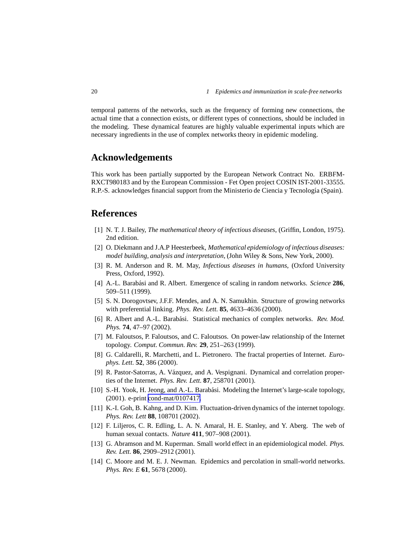<span id="page-19-0"></span>temporal patterns of the networks, such as the frequency of forming new connections, the actual time that a connection exists, or different types of connections, should be included in the modeling. These dynamical features are highly valuable experimental inputs which are necessary ingredients in the use of complex networks theory in epidemic modeling.

# **Acknowledgements**

This work has been partially supported by the European Network Contract No. ERBFM-RXCT980183 and by the European Commission - Fet Open project COSIN IST-2001-33555. R.P.-S. acknowledges financial support from the Ministerio de Ciencia y Tecnología (Spain).

# **References**

- [1] N. T. J. Bailey, *The mathematical theory of infectious diseases*, (Griffin, London, 1975). 2nd edition.
- [2] O. Diekmann and J.A.P Heesterbeek, *Mathematical epidemiology of infectious diseases: model building, analysis and interpretation*, (John Wiley & Sons, New York, 2000).
- [3] R. M. Anderson and R. M. May, *Infectious diseases in humans*, (Oxford University Press, Oxford, 1992).
- [4] A.-L. Barabási and R. Albert. Emergence of scaling in random networks. *Science* 286, 509–511 (1999).
- [5] S. N. Dorogovtsev, J.F.F. Mendes, and A. N. Samukhin. Structure of growing networks with preferential linking. *Phys. Rev. Lett.* **85**, 4633–4636 (2000).
- [6] R. Albert and A.-L. Barabási. Statistical mechanics of complex networks. *Rev. Mod. Phys.* **74**, 47–97 (2002).
- [7] M. Faloutsos, P. Faloutsos, and C. Faloutsos. On power-law relationship of the Internet topology. *Comput. Commun. Rev.* **29**, 251–263 (1999).
- [8] G. Caldarelli, R. Marchetti, and L. Pietronero. The fractal properties of Internet. *Europhys. Lett.* **52**, 386 (2000).
- [9] R. Pastor-Satorras, A. Vázquez, and A. Vespignani. Dynamical and correlation properties of the Internet. *Phys. Rev. Lett.* **87**, 258701 (2001).
- [10] S.-H. Yook, H. Jeong, and A.-L. Barabási. Modeling the Internet's large-scale topology, (2001). e-print [cond-mat/0107417.](http://lanl.arXiv.org/abs/cond-mat/0107417)
- [11] K.-I. Goh, B. Kahng, and D. Kim. Fluctuation-driven dynamics of the internet topology. *Phys. Rev. Lett* **88**, 108701 (2002).
- [12] F. Liljeros, C. R. Edling, L. A. N. Amaral, H. E. Stanley, and Y. Aberg. The web of human sexual contacts. *Nature* **411**, 907–908 (2001).
- [13] G. Abramson and M. Kuperman. Small world effect in an epidemiological model. *Phys. Rev. Lett.* **86**, 2909–2912 (2001).
- [14] C. Moore and M. E. J. Newman. Epidemics and percolation in small-world networks. *Phys. Rev. E* **61**, 5678 (2000).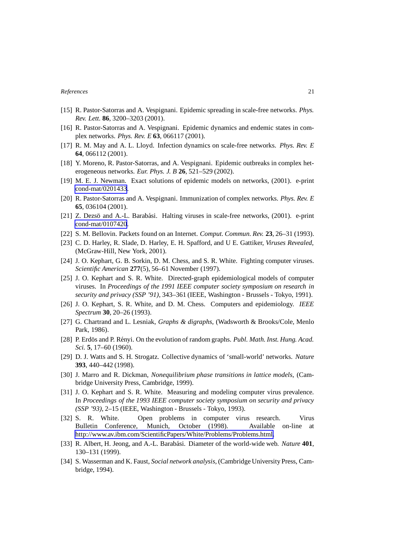- <span id="page-20-0"></span>[15] R. Pastor-Satorras and A. Vespignani. Epidemic spreading in scale-free networks. *Phys. Rev. Lett.* **86**, 3200–3203 (2001).
- [16] R. Pastor-Satorras and A. Vespignani. Epidemic dynamics and endemic states in complex networks. *Phys. Rev. E* **63**, 066117 (2001).
- [17] R. M. May and A. L. Lloyd. Infection dynamics on scale-free networks. *Phys. Rev. E* **64**, 066112 (2001).
- [18] Y. Moreno, R. Pastor-Satorras, and A. Vespignani. Epidemic outbreaks in complex heterogeneous networks. *Eur. Phys. J. B* **26**, 521–529 (2002).
- [19] M. E. J. Newman. Exact solutions of epidemic models on networks, (2001). e-print [cond-mat/0201433](http://lanl.arXiv.org/abs/cond-mat/0201433).
- [20] R. Pastor-Satorras and A. Vespignani. Immunization of complex networks. *Phys. Rev. E* **65**, 036104 (2001).
- [21] Z. Dezsö and A.-L. Barabási. Halting viruses in scale-free networks, (2001). e-print [cond-mat/0107420](http://lanl.arXiv.org/abs/cond-mat/0107420).
- [22] S. M. Bellovin. Packets found on an Internet. *Comput. Commun. Rev.* **23**, 26–31 (1993).
- [23] C. D. Harley, R. Slade, D. Harley, E. H. Spafford, and U E. Gattiker, *Viruses Revealed*, (McGraw-Hill, New York, 2001).
- [24] J. O. Kephart, G. B. Sorkin, D. M. Chess, and S. R. White. Fighting computer viruses. *Scientific American* **277**(5), 56–61 November (1997).
- [25] J. O. Kephart and S. R. White. Directed-graph epidemiological models of computer viruses. In *Proceedings of the 1991 IEEE computer society symposium on research in security and privacy (SSP '91)*, 343–361 (IEEE, Washington - Brussels - Tokyo, 1991).
- [26] J. O. Kephart, S. R. White, and D. M. Chess. Computers and epidemiology. *IEEE Spectrum* **30**, 20–26 (1993).
- [27] G. Chartrand and L. Lesniak, *Graphs & digraphs*, (Wadsworth & Brooks/Cole, Menlo Park, 1986).
- [28] P. Erdös and P. Rényi. On the evolution of random graphs. *Publ. Math. Inst. Hung. Acad. Sci.* **5**, 17–60 (1960).
- [29] D. J. Watts and S. H. Strogatz. Collective dynamics of 'small-world' networks. *Nature* **393**, 440–442 (1998).
- [30] J. Marro and R. Dickman, *Nonequilibrium phase transitions in lattice models*, (Cambridge University Press, Cambridge, 1999).
- [31] J. O. Kephart and S. R. White. Measuring and modeling computer virus prevalence. In *Proceedings of the 1993 IEEE computer society symposium on security and privacy (SSP '93)*, 2–15 (IEEE, Washington - Brussels - Tokyo, 1993).
- [32] S. R. White. Open problems in computer virus research. Virus Bulletin Conference, Munich, October (1998). Available on-line at [http://www.av.ibm.com/ScientificPapers/White/Problems/Problems.html.](http://www.av.ibm.com/ScientificPapers/White/Problems/Problems.html)
- [33] R. Albert, H. Jeong, and A.-L. Barabási. Diameter of the world-wide web. *Nature* **401**, 130–131 (1999).
- [34] S. Wasserman and K. Faust, *Social network analysis*, (Cambridge University Press, Cambridge, 1994).